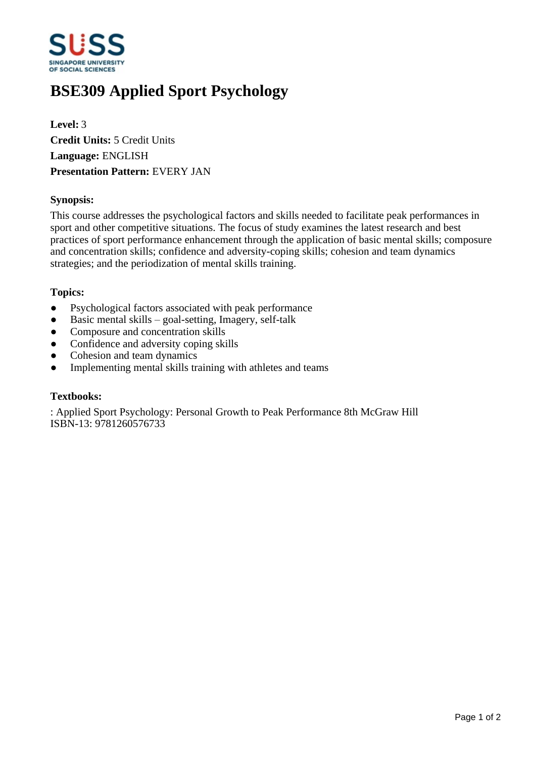

# **BSE309 Applied Sport Psychology**

**Level:** 3 **Credit Units:** 5 Credit Units **Language:** ENGLISH **Presentation Pattern:** EVERY JAN

## **Synopsis:**

This course addresses the psychological factors and skills needed to facilitate peak performances in sport and other competitive situations. The focus of study examines the latest research and best practices of sport performance enhancement through the application of basic mental skills; composure and concentration skills; confidence and adversity-coping skills; cohesion and team dynamics strategies; and the periodization of mental skills training.

### **Topics:**

- Psychological factors associated with peak performance
- $\bullet$  Basic mental skills  $-$  goal-setting, Imagery, self-talk
- Composure and concentration skills
- Confidence and adversity coping skills
- Cohesion and team dynamics
- Implementing mental skills training with athletes and teams

#### **Textbooks:**

: Applied Sport Psychology: Personal Growth to Peak Performance 8th McGraw Hill ISBN-13: 9781260576733